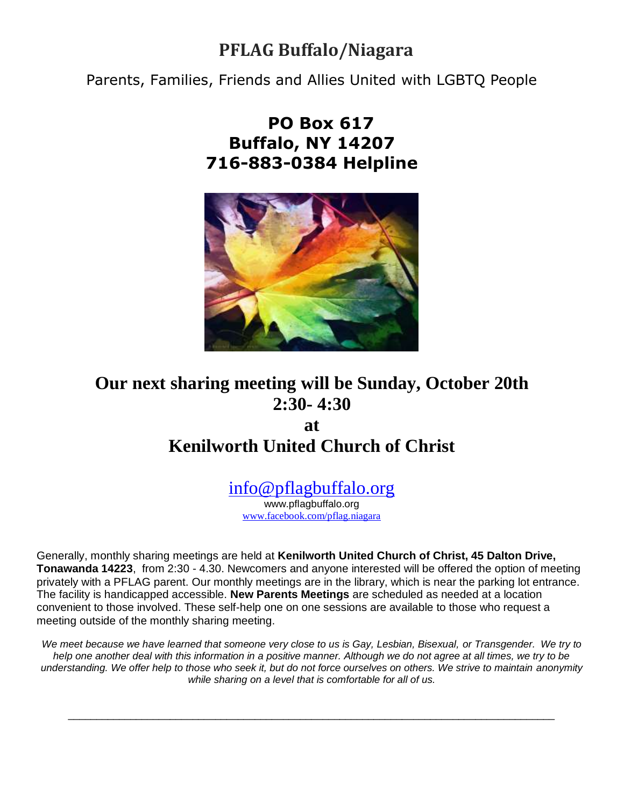# **PFLAG Buffalo/Niagara**

Parents, Families, Friends and Allies United with LGBTQ People

## **PO Box 617 Buffalo, NY 14207 716-883-0384 Helpline**



# **Our next sharing meeting will be Sunday, October 20th 2:30- 4:30**

**at**

# **Kenilworth United Church of Christ**

[info@pflagbuffalo.org](mailto:info@pflagbuffalo.org)

www.pflagbuffalo.org [www.facebook.com/pflag.niagara](http://www.facebook.com/pflag.niagara)

Generally, monthly sharing meetings are held at **Kenilworth United Church of Christ, 45 Dalton Drive, Tonawanda 14223**, from 2:30 - 4.30. Newcomers and anyone interested will be offered the option of meeting privately with a PFLAG parent. Our monthly meetings are in the library, which is near the parking lot entrance. The facility is handicapped accessible. **New Parents Meetings** are scheduled as needed at a location convenient to those involved. These self-help one on one sessions are available to those who request a meeting outside of the monthly sharing meeting.

*We meet because we have learned that someone very close to us is Gay, Lesbian, Bisexual, or Transgender. We try to*  help one another deal with this information in a positive manner. Although we do not agree at all times, we try to be *understanding. We offer help to those who seek it, but do not force ourselves on others. We strive to maintain anonymity while sharing on a level that is comfortable for all of us.*

\_\_\_\_\_\_\_\_\_\_\_\_\_\_\_\_\_\_\_\_\_\_\_\_\_\_\_\_\_\_\_\_\_\_\_\_\_\_\_\_\_\_\_\_\_\_\_\_\_\_\_\_\_\_\_\_\_\_\_\_\_\_\_\_\_\_\_\_\_\_\_\_\_\_\_\_\_\_\_\_\_\_\_\_\_\_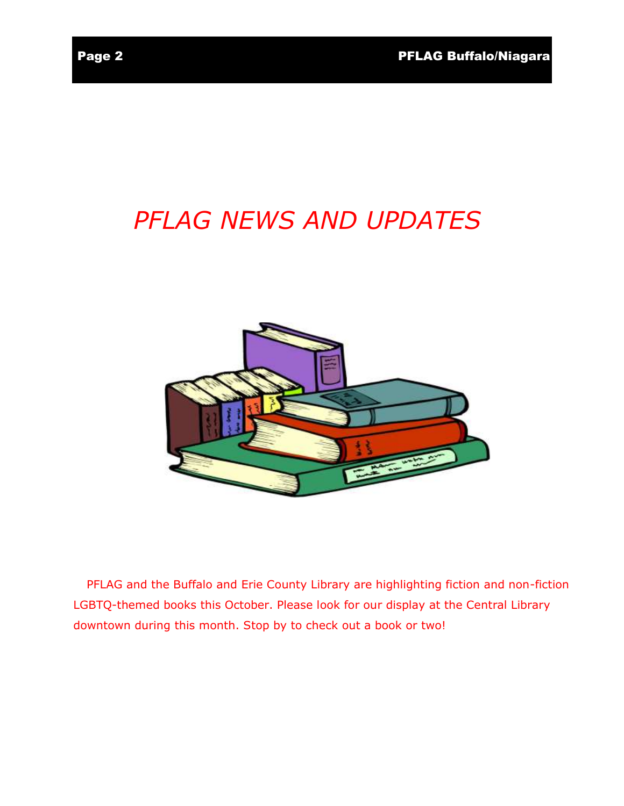# *PFLAG NEWS AND UPDATES*



PFLAG and the Buffalo and Erie County Library are highlighting fiction and non-fiction LGBTQ-themed books this October. Please look for our display at the Central Library downtown during this month. Stop by to check out a book or two!